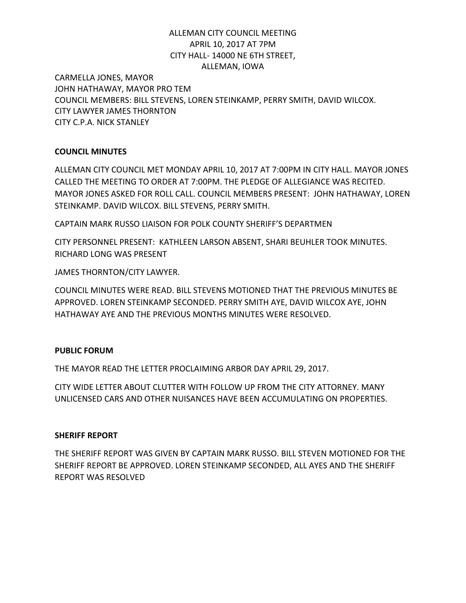# ALLEMAN CITY COUNCIL MEETING APRIL 10, 2017 AT 7PM CITY HALL- 14000 NE 6TH STREET, ALLEMAN, IOWA

CARMELLA JONES, MAYOR JOHN HATHAWAY, MAYOR PRO TEM COUNCIL MEMBERS: BILL STEVENS, LOREN STEINKAMP, PERRY SMITH, DAVID WILCOX. CITY LAWYER JAMES THORNTON CITY C.P.A. NICK STANLEY

## **COUNCIL MINUTES**

ALLEMAN CITY COUNCIL MET MONDAY APRIL 10, 2017 AT 7:00PM IN CITY HALL. MAYOR JONES CALLED THE MEETING TO ORDER AT 7:00PM. THE PLEDGE OF ALLEGIANCE WAS RECITED. MAYOR JONES ASKED FOR ROLL CALL. COUNCIL MEMBERS PRESENT: JOHN HATHAWAY, LOREN STEINKAMP. DAVID WILCOX. BILL STEVENS, PERRY SMITH.

CAPTAIN MARK RUSSO LIAISON FOR POLK COUNTY SHERIFF'S DEPARTMEN

CITY PERSONNEL PRESENT: KATHLEEN LARSON ABSENT, SHARI BEUHLER TOOK MINUTES. RICHARD LONG WAS PRESENT

JAMES THORNTON/CITY LAWYER.

COUNCIL MINUTES WERE READ. BILL STEVENS MOTIONED THAT THE PREVIOUS MINUTES BE APPROVED. LOREN STEINKAMP SECONDED. PERRY SMITH AYE, DAVID WILCOX AYE, JOHN HATHAWAY AYE AND THE PREVIOUS MONTHS MINUTES WERE RESOLVED.

## **PUBLIC FORUM**

THE MAYOR READ THE LETTER PROCLAIMING ARBOR DAY APRIL 29, 2017.

CITY WIDE LETTER ABOUT CLUTTER WITH FOLLOW UP FROM THE CITY ATTORNEY. MANY UNLICENSED CARS AND OTHER NUISANCES HAVE BEEN ACCUMULATING ON PROPERTIES.

### **SHERIFF REPORT**

THE SHERIFF REPORT WAS GIVEN BY CAPTAIN MARK RUSSO. BILL STEVEN MOTIONED FOR THE SHERIFF REPORT BE APPROVED. LOREN STEINKAMP SECONDED, ALL AYES AND THE SHERIFF REPORT WAS RESOLVED